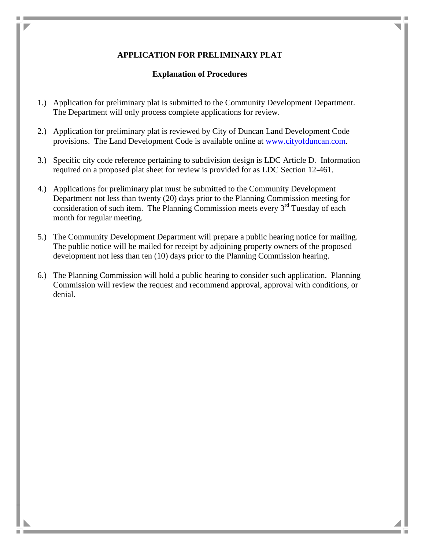## **APPLICATION FOR PRELIMINARY PLAT**

## **Explanation of Procedures**

- 1.) Application for preliminary plat is submitted to the Community Development Department. The Department will only process complete applications for review.
- 2.) Application for preliminary plat is reviewed by City of Duncan Land Development Code provisions. The Land Development Code is available online at [www.cityofduncan.com.](http://www.cityofduncan.com/)
- 3.) Specific city code reference pertaining to subdivision design is LDC Article D. Information required on a proposed plat sheet for review is provided for as LDC Section 12-461.
- 4.) Applications for preliminary plat must be submitted to the Community Development Department not less than twenty (20) days prior to the Planning Commission meeting for consideration of such item. The Planning Commission meets every  $3<sup>rd</sup>$  Tuesday of each month for regular meeting.
- 5.) The Community Development Department will prepare a public hearing notice for mailing. The public notice will be mailed for receipt by adjoining property owners of the proposed development not less than ten (10) days prior to the Planning Commission hearing.
- 6.) The Planning Commission will hold a public hearing to consider such application. Planning Commission will review the request and recommend approval, approval with conditions, or denial.